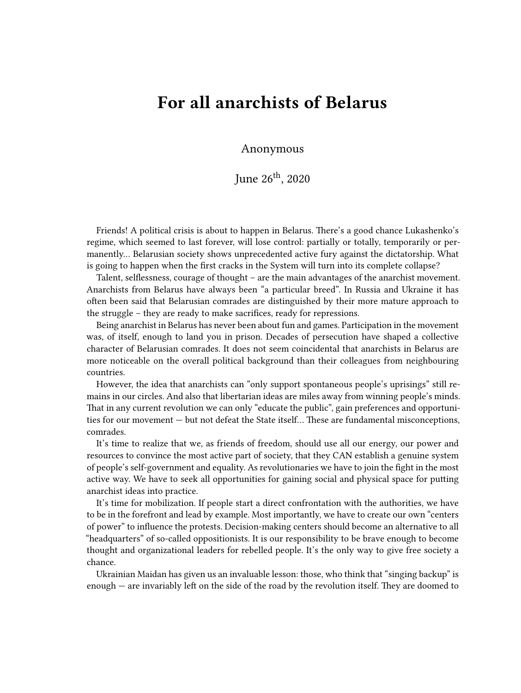## **For all anarchists of Belarus**

Anonymous

June  $26^{th}$ , 2020

Friends! A political crisis is about to happen in Belarus. There's a good chance Lukashenko's regime, which seemed to last forever, will lose control: partially or totally, temporarily or permanently… Belarusian society shows unprecedented active fury against the dictatorship. What is going to happen when the first cracks in the System will turn into its complete collapse?

Talent, selflessness, courage of thought – are the main advantages of the anarchist movement. Anarchists from Belarus have always been "a particular breed". In Russia and Ukraine it has often been said that Belarusian comrades are distinguished by their more mature approach to the struggle – they are ready to make sacrifices, ready for repressions.

Being anarchist in Belarus has never been about fun and games. Participation in the movement was, of itself, enough to land you in prison. Decades of persecution have shaped a collective character of Belarusian comrades. It does not seem coincidental that anarchists in Belarus are more noticeable on the overall political background than their colleagues from neighbouring countries.

However, the idea that anarchists can "only support spontaneous people's uprisings" still remains in our circles. And also that libertarian ideas are miles away from winning people's minds. That in any current revolution we can only "educate the public", gain preferences and opportunities for our movement — but not defeat the State itself… These are fundamental misconceptions, comrades.

It's time to realize that we, as friends of freedom, should use all our energy, our power and resources to convince the most active part of society, that they CAN establish a genuine system of people's self-government and equality. As revolutionaries we have to join the fight in the most active way. We have to seek all opportunities for gaining social and physical space for putting anarchist ideas into practice.

It's time for mobilization. If people start a direct confrontation with the authorities, we have to be in the forefront and lead by example. Most importantly, we have to create our own "centers of power" to influence the protests. Decision-making centers should become an alternative to all "headquarters" of so-called oppositionists. It is our responsibility to be brave enough to become thought and organizational leaders for rebelled people. It's the only way to give free society a chance.

Ukrainian Maidan has given us an invaluable lesson: those, who think that "singing backup" is enough — are invariably left on the side of the road by the revolution itself. They are doomed to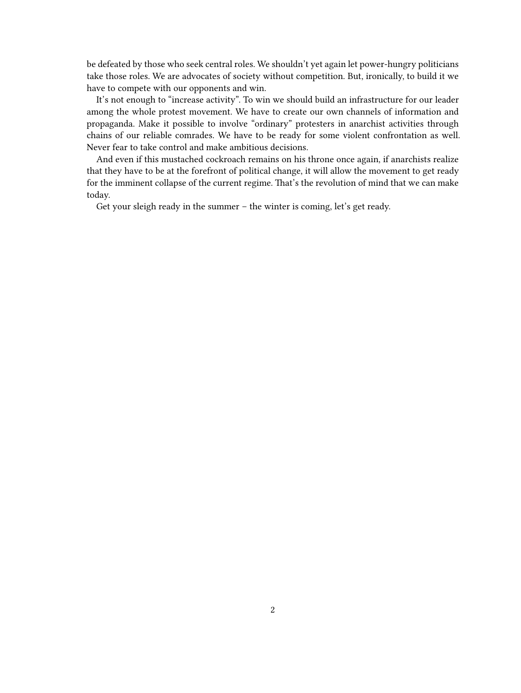be defeated by those who seek central roles. We shouldn't yet again let power-hungry politicians take those roles. We are advocates of society without competition. But, ironically, to build it we have to compete with our opponents and win.

It's not enough to "increase activity". To win we should build an infrastructure for our leader among the whole protest movement. We have to create our own channels of information and propaganda. Make it possible to involve "ordinary" protesters in anarchist activities through chains of our reliable comrades. We have to be ready for some violent confrontation as well. Never fear to take control and make ambitious decisions.

And even if this mustached cockroach remains on his throne once again, if anarchists realize that they have to be at the forefront of political change, it will allow the movement to get ready for the imminent collapse of the current regime. That's the revolution of mind that we can make today.

Get your sleigh ready in the summer – the winter is coming, let's get ready.